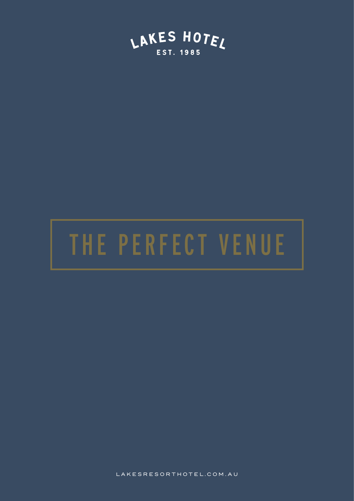

# THE PERFECT VENUE

LAKESRESORTHOTEL.COM.AU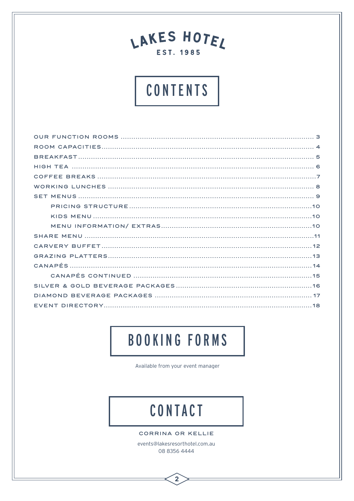## CONTENTS

## **BOOKING FORMS**

Available from your event manager

## CONTACT

CORRINA OR KELLIE

events@lakesresorthotel.com.au 08 8356 4444

 $\overline{2}$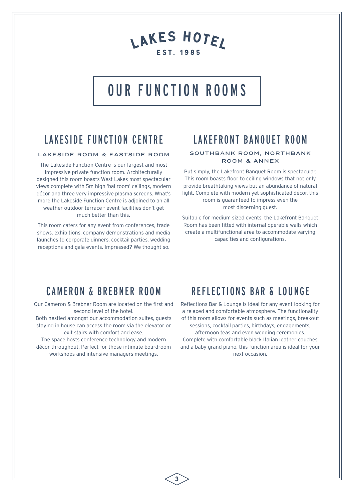## OUR FUNCTION ROOMS

## LAKESIDE FUNCTION CENTRE

#### LAKESIDE ROOM & EASTSIDE ROOM

The Lakeside Function Centre is our largest and most impressive private function room. Architecturally designed this room boasts West Lakes most spectacular views complete with 5m high 'ballroom' ceilings, modern décor and three very impressive plasma screens. What's more the Lakeside Function Centre is adjoined to an all weather outdoor terrace - event facilities don't get much better than this.

This room caters for any event from conferences, trade shows, exhibitions, company demonstrations and media launches to corporate dinners, cocktail parties, wedding receptions and gala events. Impressed? We thought so.

### LAKEFRONT BANQUET ROOM

#### SOUTHBANK ROOM, NORTHBANK ROOM & ANNEX

Put simply, the Lakefront Banquet Room is spectacular. This room boasts floor to ceiling windows that not only provide breathtaking views but an abundance of natural light. Complete with modern yet sophisticated décor, this room is guaranteed to impress even the most discerning guest.

Suitable for medium sized events, the Lakefront Banquet Room has been fitted with internal operable walls which create a multifunctional area to accommodate varying capacities and configurations.

### CAMERON & BREBNER ROOM

Our Cameron & Brebner Room are located on the first and second level of the hotel.

Both nestled amongst our accommodation suites, guests staying in house can access the room via the elevator or exit stairs with comfort and ease.

The space hosts conference technology and modern décor throughout. Perfect for those intimate boardroom workshops and intensive managers meetings.

### REFLECTIONS BAR & LOUNGE

Reflections Bar & Lounge is ideal for any event looking for a relaxed and comfortable atmosphere. The functionality of this room allows for events such as meetings, breakout sessions, cocktail parties, birthdays, engagements, afternoon teas and even wedding ceremonies. Complete with comfortable black Italian leather couches and a baby grand piano, this function area is ideal for your next occasion.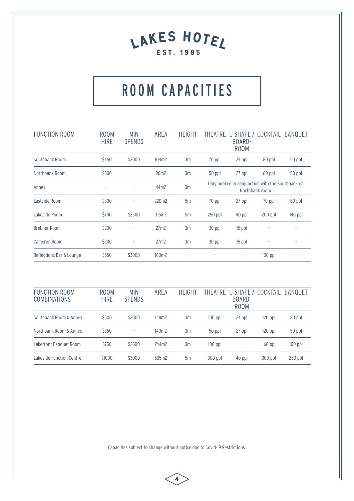## ROOM CAPACITIES

| <b>FUNCTION ROOM</b>     | <b>ROOM</b><br><b>HIRE</b> | <b>MIN</b><br><b>SPENDS</b> | AREA             | <b>HEIGHT</b> | <b>THEATRE</b> | U SHAPE /<br>BOARD-<br><b>ROOM</b>               | COCKTAIL       | <b>BANQUET</b> |
|--------------------------|----------------------------|-----------------------------|------------------|---------------|----------------|--------------------------------------------------|----------------|----------------|
| Southbank Room           | \$450                      | \$2000                      | 104m2            | 3m            | 70 ppl         | 24 ppl                                           | 80 ppl         | 50 ppl         |
| Northbank Room           | \$300                      | ٠                           | 96m2             | 3m            | 50 ppl         | 27 ppl                                           | 60 ppl         | 50 ppl         |
| Annex                    | ٠                          | ÷,                          | 44m2             | 3m            |                | Only booked in conjunction with the Southbank or | Northbank room |                |
| Eastside Room            | \$300                      | ٠                           | 220m2            | 5m            | 70 ppl         | 27 ppl                                           | 70 ppl         | 60 ppl         |
| Lakeside Room            | \$700                      | \$2500                      | 315m2            | 5m            | $250$ ppl      | 40 ppl                                           | $200$ ppl      | $140$ ppl      |
| <b>Brebner Room</b>      | \$200                      |                             | 27m2             | 3m            | 30 ppl         | $15$ ppl                                         |                |                |
| Cameron Room             | \$200                      | ٠                           | 27 <sub>m2</sub> | 3m            | 30 ppl         | $15$ ppl                                         | ٠              | ۰              |
| Reflections Bar & Lounge | \$350                      | \$3000                      | 160m2            |               |                | -                                                | $100$ ppl      |                |

| <b>FUNCTION ROOM</b><br><b>COMBINATIONS</b> | ROOM<br><b>HIRE</b> | <b>MIN</b><br><b>SPENDS</b> | AREA  | <b>HEIGHT</b> | <b>THEATRE</b> | U SHAPE /<br>BOARD-<br><b>ROOM</b> | COCKTAIL  | BANQUET   |
|---------------------------------------------|---------------------|-----------------------------|-------|---------------|----------------|------------------------------------|-----------|-----------|
| Southbank Room & Annex                      | \$500               | \$2000                      | 148m2 | 3m            | $100$ ppl      | 24 ppl                             | $120$ ppl | 80 ppl    |
| Northbank Room & Annex                      | \$350               | ٠                           | 140m2 | 3m            | 50 ppl         | 27 ppl                             | $120$ ppl | 50 ppl    |
| Lakefront Banguet Room                      | \$750               | \$2500                      | 244m2 | 3m            | $100$ ppl      |                                    | $160$ ppl | $100$ ppl |
| Lakeside Function Centre                    | \$1000              | \$3000                      | 535m2 | 5m            | $300$ ppl      | 40 ppl                             | $300$ ppl | $250$ ppl |

Capacities subject to change without notice due to Covid-19 Restrictions.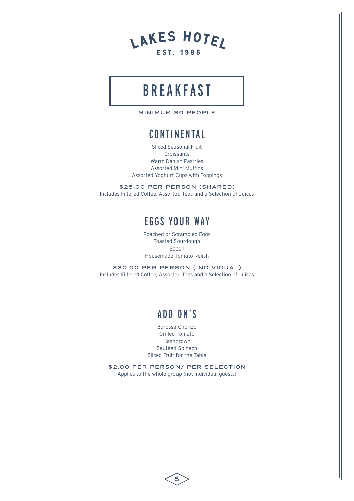

## BREAKFAST

MINIMUM 30 PEOPLE

### **CONTINENTAL**

Sliced Seasonal Fruit Croissants Warm Danish Pastries Assorted Mini Muffins Assorted Yoghurt Cups with Toppings

\$25.00 PER PERSON (SHARED) Includes Filtered Coffee, Assorted Teas and a Selection of Juices

## EGGS YOUR WAY

Poached or Scrambled Eggs Toasted Sourdough Bacon Housemade Tomato Relish

\$30.00 PER PERSON (INDIVIDUAL) Includes Filtered Coffee, Assorted Teas and a Selection of Juices

## ADD ON'S

Barossa Chorizo Grilled Tomato Hashbrown Sautéed Spinach Sliced Fruit for the Table

\$2.00 PER PERSON/ PER SELECTION Applies to the whole group (not individual guests)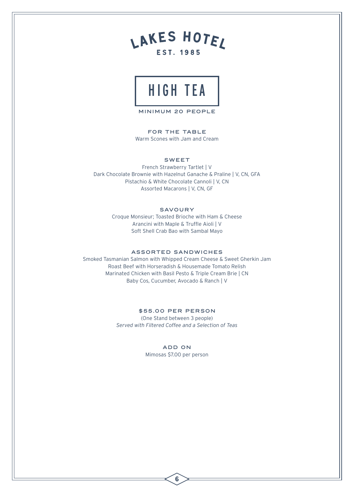



MINIMUM 20 PEOPLE

FOR THE TABLE Warm Scones with Jam and Cream

#### SWEET

French Strawberry Tartlet | V Dark Chocolate Brownie with Hazelnut Ganache & Praline | V, CN, GFA Pistachio & White Chocolate Cannoli | V, CN Assorted Macarons | V, CN, GF

#### **SAVOURY**

Croque Monsieur; Toasted Brioche with Ham & Cheese Arancini with Maple & Truffle Aioli | V Soft Shell Crab Bao with Sambal Mayo

#### ASSORTED SANDWICHES

Smoked Tasmanian Salmon with Whipped Cream Cheese & Sweet Gherkin Jam Roast Beef with Horseradish & Housemade Tomato Relish Marinated Chicken with Basil Pesto & Triple Cream Brie | CN Baby Cos, Cucumber, Avocado & Ranch | V

#### \$55 .00 PER PERSON

(One Stand between 3 people) *Served with Filtered Coffee and a Selection of Teas*

#### ADD ON

Mimosas \$7.00 per person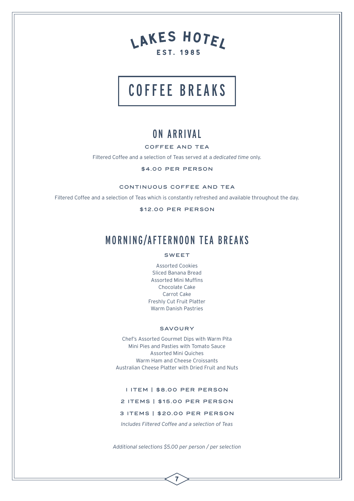

## COFFEE BREAKS

### ON ARRIVAL

#### COFFEE AND TEA

Filtered Coffee and a selection of Teas served at a *dedicated time* only.

#### \$4.00 PER PERSON

CONTINUOUS COFFEE AND TEA

Filtered Coffee and a selection of Teas which is constantly refreshed and available throughout the day.

\$12.00 PER PERSON

### MORNING/AFTERNOON TEA BREAKS

#### SWEET

Assorted Cookies Sliced Banana Bread Assorted Mini Muffins Chocolate Cake Carrot Cake Freshly Cut Fruit Platter Warm Danish Pastries

#### SAVOURY

Chef's Assorted Gourmet Dips with Warm Pita Mini Pies and Pasties with Tomato Sauce Assorted Mini Quiches Warm Ham and Cheese Croissants Australian Cheese Platter with Dried Fruit and Nuts

I ITEM | \$8.00 PER PERSON

2 ITEMS | \$15.00 PER PERSON

3 ITEMS | \$20.00 PER PERSON

*Includes Filtered Coffee and a selection of Teas*

*Additional selections \$5.00 per person / per selection*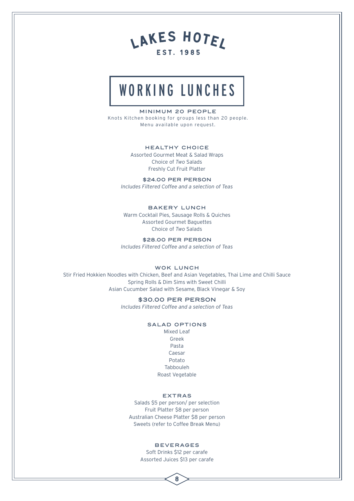## WORKING LUNCHES

#### MINIMUM 20 PEOPLE

Knots Kitchen booking for groups less than 20 people. Menu available upon request.

#### HEALTHY CHOICE

Assorted Gourmet Meat & Salad Wraps Choice of *Two* Salads Freshly Cut Fruit Platter

\$24.00 PER PERSON *Includes Filtered Coffee and a selection of Teas*

#### BAKERY LUNCH

Warm Cocktail Pies, Sausage Rolls & Quiches Assorted Gourmet Baguettes Choice of *Two* Salads

\$28.00 PER PERSON *Includes Filtered Coffee and a selection of Teas*

#### WOK LUNCH

Stir Fried Hokkien Noodles with Chicken, Beef and Asian Vegetables, Thai Lime and Chilli Sauce Spring Rolls & Dim Sims with Sweet Chilli Asian Cucumber Salad with Sesame, Black Vinegar & Soy

#### \$30.00 PER PERSON

*Includes Filtered Coffee and a selection of Teas*

#### SALAD OPTIONS

Mixed Leaf Greek Pasta Caesar Potato Tabbouleh Roast Vegetable

#### EXTRAS

Salads \$5 per person/ per selection Fruit Platter \$8 per person Australian Cheese Platter \$8 per person Sweets (refer to Coffee Break Menu)

#### BEVERAGES

Soft Drinks \$12 per carafe Assorted Juices \$13 per carafe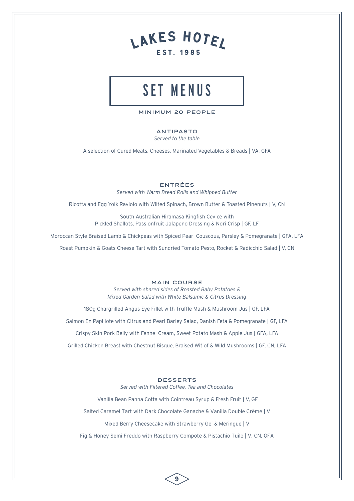## SET MENUS

MINIMUM 20 PEOPLE

#### ANTIPASTO

*Served to the table*

A selection of Cured Meats, Cheeses, Marinated Vegetables & Breads | VA, GFA

#### ENTRÉES

*Served with Warm Bread Rolls and Whipped Butter*

Ricotta and Egg Yolk Raviolo with Wilted Spinach, Brown Butter & Toasted Pinenuts | V, CN

South Australian Hiramasa Kingfish Cevice with Pickled Shallots, Passionfruit Jalapeno Dressing & Nori Crisp | GF, LF

Moroccan Style Braised Lamb & Chickpeas with Spiced Pearl Couscous, Parsley & Pomegranate | GFA, LFA

Roast Pumpkin & Goats Cheese Tart with Sundried Tomato Pesto, Rocket & Radicchio Salad | V, CN

#### MAIN COURSE

*Served with shared sides of Roasted Baby Potatoes & Mixed Garden Salad with White Balsamic & Citrus Dressing*

180g Chargrilled Angus Eye Fillet with Truffle Mash & Mushroom Jus | GF, LFA

Salmon En Papillote with Citrus and Pearl Barley Salad, Danish Feta & Pomegranate | GF, LFA

Crispy Skin Pork Belly with Fennel Cream, Sweet Potato Mash & Apple Jus | GFA, LFA

Grilled Chicken Breast with Chestnut Bisque, Braised Witlof & Wild Mushrooms | GF, CN, LFA

#### DESSERTS

*Served with Filtered Coffee, Tea and Chocolates*

Vanilla Bean Panna Cotta with Cointreau Syrup & Fresh Fruit | V, GF

Salted Caramel Tart with Dark Chocolate Ganache & Vanilla Double Crème | V

Mixed Berry Cheesecake with Strawberry Gel & Meringue | V

Fig & Honey Semi Freddo with Raspberry Compote & Pistachio Tuile | V, CN, GFA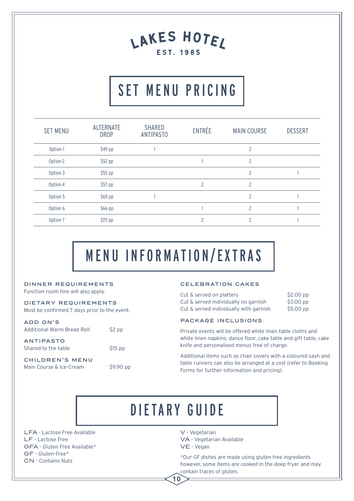## SET MENU PRICING

| <b>SET MENU</b> | <b>ALTERNATE</b><br><b>DROP</b> | SHARED<br><b>ANTIPASTO</b> | ENTRÉE | <b>MAIN COURSE</b>       | <b>DESSERT</b> |
|-----------------|---------------------------------|----------------------------|--------|--------------------------|----------------|
| Option 1        | \$49 pp                         |                            |        | $\overline{c}$           |                |
| Option 2        | \$52 pp                         |                            |        | 2                        |                |
| Option 3        | \$55 pp                         |                            |        | $\overline{c}$           |                |
| Option 4        | \$57 pp                         |                            | 2      | $\overline{c}$           |                |
| Option 5        | \$60 pp                         |                            |        | $\overline{\phantom{a}}$ |                |
| Option 6        | \$66 pp                         |                            |        | $\overline{\phantom{a}}$ |                |
| Option 7        | \$70 pp                         |                            |        | 2                        |                |

## MENU INFORMATION/EXTRAS

### DINNER REQUIREMENTS

Function room hire will also apply.

DIETARY REQUIREMENTS Must be confirmed 7 days prior to the event.

ADD ON'S Additional Warm Bread Roll \$2 pp

CHILDREN'S MENU

ANTIPASTO Shared to the table \$15 pp

Main Course & Ice-Cream \$9.90 pp

#### CELEBRATION CAKES

|  | Cut & served on platters               | $$2.00$ pp |
|--|----------------------------------------|------------|
|  | Cut & served individually no garnish   | $$3.00$ pp |
|  | Cut & served individually with garnish | $$5.00$ pp |

PACKAGE INCLUSIONS

Private events will be offered white linen table cloths and white linen napkins, dance floor, cake table and gift table, cake knife and personalised menus free of charge.

Additional items such as chair covers with a coloured sash and table runners can also be arranged at a cost (refer to Booking Forms for further information and pricing).

## DIETARY GUIDE

10

LFA - Lactose Free Available LF - Lactose Free GFA - Gluten Free Available\* GF - Gluten-Free\* CN - Contains Nuts

V - Vegetarian

VA - Vegetarian Available VE - Vegan

\*Our GF dishes are made using gluten free ingredients however, some items are cooked in the deep fryer and may contain traces of gluten.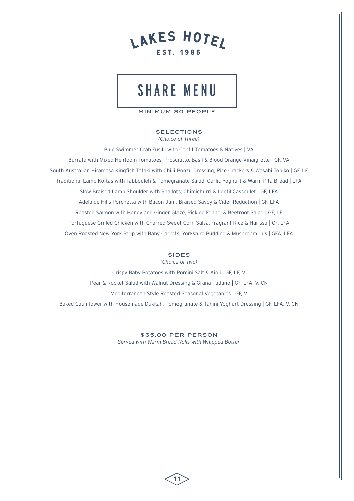

## SHARE MENU

MINIMUM 30 PEOPLE

#### SELECTIONS *(Choice of Three)*

Blue Swimmer Crab Fusilli with Confit Tomatoes & Natives | VA Burrata with Mixed Heirloom Tomatoes, Prosciutto, Basil & Blood Orange Vinaigrette | GF, VA South Australian Hiramasa Kingfish Tataki with Chilli Ponzu Dressing, Rice Crackers & Wasabi Tobiko | GF, LF Traditional Lamb Koftas with Tabbouleh & Pomegranate Salad, Garlic Yoghurt & Warm Pita Bread | LFA Slow Braised Lamb Shoulder with Shallots, Chimichurri & Lentil Cassoulet | GF, LFA Adelaide Hills Porchetta with Bacon Jam, Braised Savoy & Cider Reduction | GF, LFA Roasted Salmon with Honey and Ginger Glaze, Pickled Fennel & Beetroot Salad | GF, LF Portuguese Grilled Chicken with Charred Sweet Corn Salsa, Fragrant Rice & Harissa | GF, LFA Oven Roasted New York Strip with Baby Carrots, Yorkshire Pudding & Mushroom Jus | GFA, LFA

#### SIDES

*(Choice of Two)*

Crispy Baby Potatoes with Porcini Salt & Aioli | GF, LF, V Pear & Rocket Salad with Walnut Dressing & Grana Padano | GF, LFA, V, CN Mediterranean Style Roasted Seasonal Vegetables | GF, V Baked Cauliflower with Housemade Dukkah, Pomegranate & Tahini Yoghurt Dressing | GF, LFA, V, CN

> \$65.00 PER PERSON *Served with Warm Bread Rolls with Whipped Butter*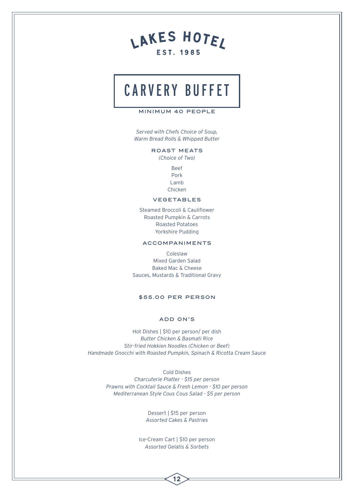## CARVERY BUFFET

#### MINIMUM 40 PEOPLE

*Served with Chefs Choice of Soup, Warm Bread Rolls & Whipped Butter*

ROAST MEATS

*(Choice of Two)*

Beef Pork Lamb Chicken

#### VEGETABLES

Steamed Broccoli & Cauliflower Roasted Pumpkin & Carrots Roasted Potatoes Yorkshire Pudding

#### ACCOMPANIMENTS

Coleslaw Mixed Garden Salad Baked Mac & Cheese Sauces, Mustards & Traditional Gravy

#### \$55.00 PER PERSON

#### ADD ON'S

Hot Dishes | \$10 per person/ per dish *Butter Chicken & Basmati Rice Stir-fried Hokkien Noodles (Chicken or Beef) Handmade Gnocchi with Roasted Pumpkin, Spinach & Ricotta Cream Sauce*

> Cold Dishes *Charcuterie Platter - \$15 per person Prawns with Cocktail Sauce & Fresh Lemon - \$10 per person Mediterranean Style Cous Cous Salad - \$5 per person*

> > Dessert | \$15 per person *Assorted Cakes & Pastries*

Ice-Cream Cart | \$10 per person *Assorted Gelatis & Sorbets*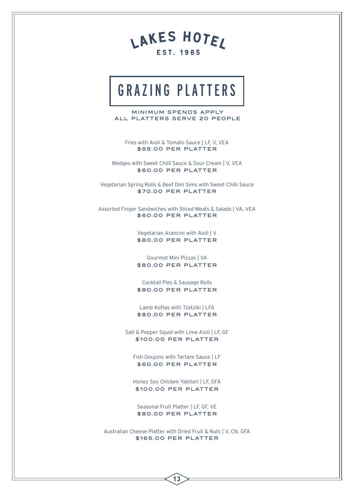

## GRAZING PLATTERS

MINIMUM SPENDS APPLY ALL PLATTERS SERVE 20 PEOPLE

Fries with Aioli & Tomato Sauce | LF, V, VEA \$55 .00 PER PLATTER

Wedges with Sweet Chilli Sauce & Sour Cream | V, VEA \$60.00 PER PLATTER

Vegetarian Spring Rolls & Beef Dim Sims with Sweet Chilli Sauce \$70.00 PER PLATTER

Assorted Finger Sandwiches with Sliced Meats & Salads | VA, VEA \$60.00 PER PLATTER

> Vegetarian Arancini with Aioli | V \$80.00 PER PLATTER

> Gourmet Mini Pizzas | VA \$80.00 PER PLATTER

> Cocktail Pies & Sausage Rolls \$80.00 PER PLATTER

> Lamb Koftas with Tzatziki | LFA \$80.00 PER PLATTER

Salt & Pepper Squid with Lime Aioli | LF, GF \$100.00 PER PLATTER

Fish Goujons with Tartare Sauce | LF \$60.00 PER PLATTER

Honey Soy Chicken Yakitori | LF, GFA \$100.00 PER PLATTER

Seasonal Fruit Platter | LF, GF, VE \$80.00 PER PLATTER

Australian Cheese Platter with Dried Fruit & Nuts | V, CN, GFA \$165 .00 PER PLATTER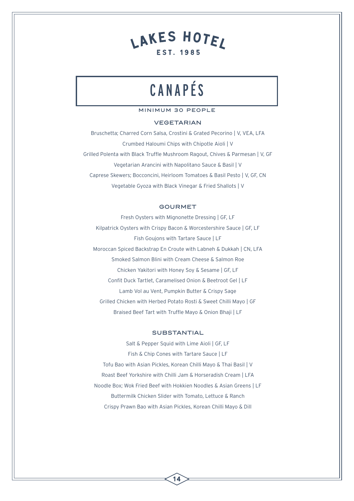## CANAPÉS

#### MINIMUM 30 PEOPLE

#### VEGETARIAN

Bruschetta; Charred Corn Salsa, Crostini & Grated Pecorino | V, VEA, LFA Crumbed Haloumi Chips with Chipotle Aioli | V Grilled Polenta with Black Truffle Mushroom Ragout, Chives & Parmesan | V, GF Vegetarian Arancini with Napolitano Sauce & Basil | V Caprese Skewers; Bocconcini, Heirloom Tomatoes & Basil Pesto | V, GF, CN Vegetable Gyoza with Black Vinegar & Fried Shallots | V

#### GOURMET

Fresh Oysters with Mignonette Dressing | GF, LF Kilpatrick Oysters with Crispy Bacon & Worcestershire Sauce | GF, LF Fish Goujons with Tartare Sauce | LF Moroccan Spiced Backstrap En Croute with Labneh & Dukkah | CN, LFA Smoked Salmon Blini with Cream Cheese & Salmon Roe Chicken Yakitori with Honey Soy & Sesame | GF, LF Confit Duck Tartlet, Caramelised Onion & Beetroot Gel | LF Lamb Vol au Vent, Pumpkin Butter & Crispy Sage Grilled Chicken with Herbed Potato Rosti & Sweet Chilli Mayo | GF Braised Beef Tart with Truffle Mayo & Onion Bhaji | LF

#### SUBSTANTIAL

Salt & Pepper Squid with Lime Aioli | GF, LF Fish & Chip Cones with Tartare Sauce | LF Tofu Bao with Asian Pickles, Korean Chilli Mayo & Thai Basil | V Roast Beef Yorkshire with Chilli Jam & Horseradish Cream | LFA Noodle Box; Wok Fried Beef with Hokkien Noodles & Asian Greens | LF Buttermilk Chicken Slider with Tomato, Lettuce & Ranch Crispy Prawn Bao with Asian Pickles, Korean Chilli Mayo & Dill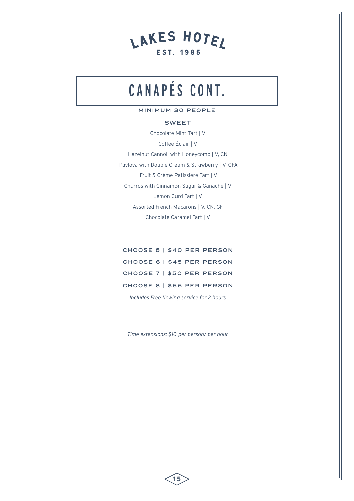## CANAPÉS CONT.

#### MINIMUM 30 PEOPLE

#### SWEET

Chocolate Mint Tart | V Coffee Éclair | V Hazelnut Cannoli with Honeycomb | V, CN Pavlova with Double Cream & Strawberry | V, GFA Fruit & Crème Patissiere Tart | V Churros with Cinnamon Sugar & Ganache | V Lemon Curd Tart | V Assorted French Macarons | V, CN, GF Chocolate Caramel Tart | V

CHOOSE 5 | \$40 PER PERSON CHOOSE 6 | \$45 PER PERSON CHOOSE 7 | \$50 PER PERSON CHOOSE 8 | \$55 PER PERSON

*Includes Free flowing service for 2 hours*

*Time extensions: \$10 per person/ per hour*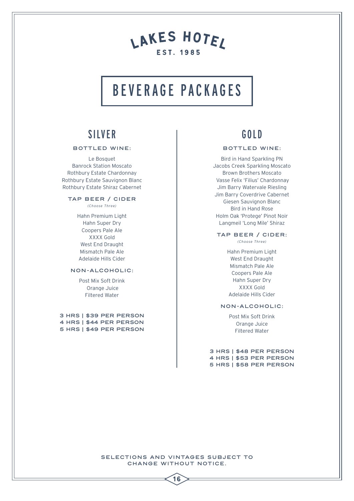## BEVERAGE PACKAGES

### SILVER

#### BOTTLED WINE:

Le Bosquet Banrock Station Moscato Rothbury Estate Chardonnay Rothbury Estate Sauvignon Blanc Rothbury Estate Shiraz Cabernet

#### TAP BEER / CIDER

*(Choose Three)*

Hahn Premium Light Hahn Super Dry Coopers Pale Ale XXXX Gold West End Draught Mismatch Pale Ale Adelaide Hills Cider

#### NON-ALCOHOLIC:

Post Mix Soft Drink Orange Juice Filtered Water

3 HRS | \$39 PER PERSON 4 HRS | \$44 PER PERSON 5 HRS | \$49 PER PERSON

### GOLD

#### BOTTLED WINE:

Bird in Hand Sparkling PN Jacobs Creek Sparkling Moscato Brown Brothers Moscato Vasse Felix 'Filius' Chardonnay Jim Barry Watervale Riesling Jim Barry Coverdrive Cabernet Giesen Sauvignon Blanc Bird in Hand Rose Holm Oak 'Protege' Pinot Noir Langmeil 'Long Mile' Shiraz

#### TAP BEER / CIDER:

*(Choose Three)*

Hahn Premium Light West End Draught Mismatch Pale Ale Coopers Pale Ale Hahn Super Dry XXXX Gold Adelaide Hills Cider

#### NON-ALCOHOLIC:

Post Mix Soft Drink Orange Juice Filtered Water

3 HRS | \$48 PER PERSON 4 HRS | \$53 PER PERSON 5 HRS | \$58 PER PERSON

SELECTIONS AND VINTAGES SUBJECT TO CHANGE WITHOUT NOTICE.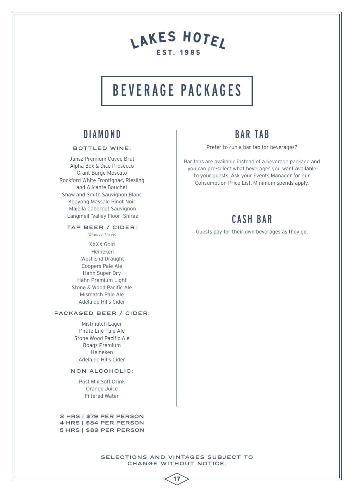## BEVERAGE PACKAGES

### DIAMOND

#### BOTTLED WINE:

Jansz Premium Cuvee Brut Alpha Box & Dice Prosecco Grant Burge Moscato Rockford White Frontignac, Riesling and Alicante Bouchet Shaw and Smith Sauvignon Blanc Kooyong Massale Pinot Noir Majella Cabernet Sauvignon Langmeil 'Valley Floor' Shiraz

#### TAP BEER / CIDER:

*(Choose Three)*

XXXX Gold Heineken West End Draught Coopers Pale Ale Hahn Super Dry Hahn Premium Light Stone & Wood Pacific Ale Mismatch Pale Ale Adelaide Hills Cider

#### PACKAGED BEER / CIDER:

Mistmatch Lager Pirate Life Pale Ale Stone Wood Pacific Ale Boags Premium Heineken Adelaide Hills Cider

#### NON ALCOHOLIC:

Post Mix Soft Drink Orange Juice Filtered Water

3 HRS | \$79 PER PERSON 4 HRS | \$84 PER PERSON 5 HRS | \$89 PER PERSON

#### SELECTIONS AND VINTAGES SUBJECT TO CHANGE WITHOUT NOTICE.

17

### BAR TAB

Prefer to run a bar tab for beverages?

Bar tabs are available instead of a beverage package and you can pre-select what beverages you want available to your guests. Ask your Events Manager for our Consumption Price List. Minimum spends apply.

### CASH BAR

Guests pay for their own beverages as they go.